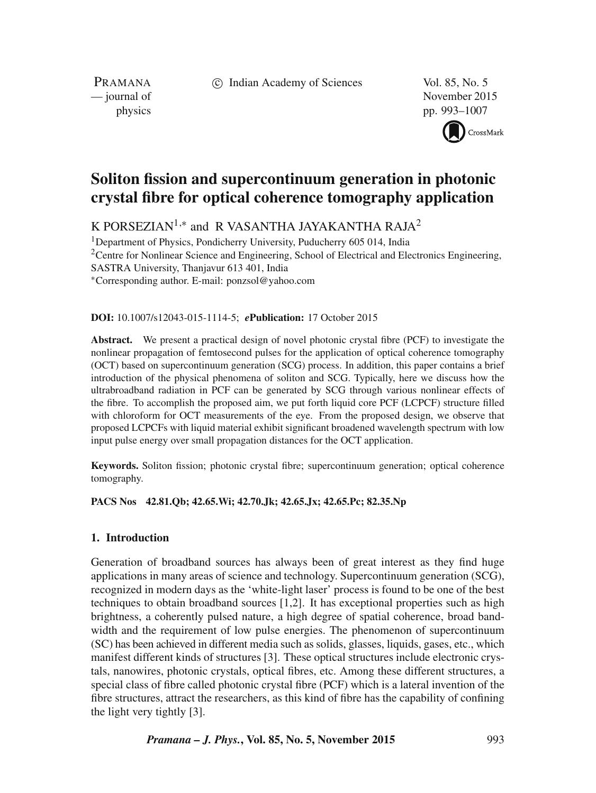c Indian Academy of Sciences Vol. 85, No. 5

PRAMANA<br>
— journal of

November 2015 physics pp. 993–1007



# **Soliton fission and supercontinuum generation in photonic crystal fibre for optical coherence tomography application**

K PORSEZIAN $^{1,\ast}$  and R VASANTHA JAYAKANTHA RAJA $^2$ 

<sup>1</sup>Department of Physics, Pondicherry University, Puducherry 605 014, India  $2$ Centre for Nonlinear Science and Engineering, School of Electrical and Electronics Engineering, SASTRA University, Thanjavur 613 401, India ∗Corresponding author. E-mail: ponzsol@yahoo.com

## **DOI:** 10.1007/s12043-015-1114-5; *e***Publication:** 17 October 2015

**Abstract.** We present a practical design of novel photonic crystal fibre (PCF) to investigate the nonlinear propagation of femtosecond pulses for the application of optical coherence tomography (OCT) based on supercontinuum generation (SCG) process. In addition, this paper contains a brief introduction of the physical phenomena of soliton and SCG. Typically, here we discuss how the ultrabroadband radiation in PCF can be generated by SCG through various nonlinear effects of the fibre. To accomplish the proposed aim, we put forth liquid core PCF (LCPCF) structure filled with chloroform for OCT measurements of the eye. From the proposed design, we observe that proposed LCPCFs with liquid material exhibit significant broadened wavelength spectrum with low input pulse energy over small propagation distances for the OCT application.

**Keywords.** Soliton fission; photonic crystal fibre; supercontinuum generation; optical coherence tomography.

## **PACS Nos 42.81.Qb; 42.65.Wi; 42.70.Jk; 42.65.Jx; 42.65.Pc; 82.35.Np**

# **1. Introduction**

Generation of broadband sources has always been of great interest as they find huge applications in many areas of science and technology. Supercontinuum generation (SCG), recognized in modern days as the 'white-light laser' process is found to be one of the best techniques to obtain broadband sources [1,2]. It has exceptional properties such as high brightness, a coherently pulsed nature, a high degree of spatial coherence, broad bandwidth and the requirement of low pulse energies. The phenomenon of supercontinuum (SC) has been achieved in different media such as solids, glasses, liquids, gases, etc., which manifest different kinds of structures [3]. These optical structures include electronic crystals, nanowires, photonic crystals, optical fibres, etc. Among these different structures, a special class of fibre called photonic crystal fibre (PCF) which is a lateral invention of the fibre structures, attract the researchers, as this kind of fibre has the capability of confining the light very tightly [3].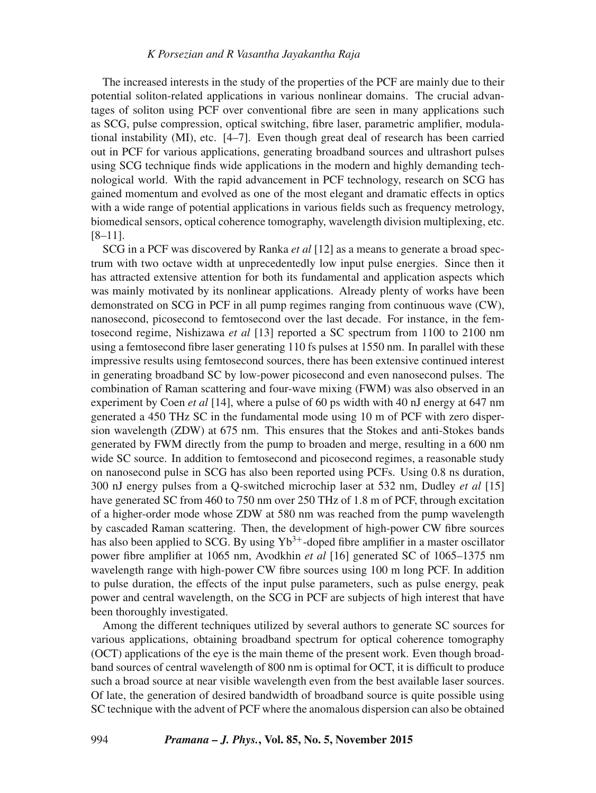The increased interests in the study of the properties of the PCF are mainly due to their potential soliton-related applications in various nonlinear domains. The crucial advantages of soliton using PCF over conventional fibre are seen in many applications such as SCG, pulse compression, optical switching, fibre laser, parametric amplifier, modulational instability (MI), etc. [4–7]. Even though great deal of research has been carried out in PCF for various applications, generating broadband sources and ultrashort pulses using SCG technique finds wide applications in the modern and highly demanding technological world. With the rapid advancement in PCF technology, research on SCG has gained momentum and evolved as one of the most elegant and dramatic effects in optics with a wide range of potential applications in various fields such as frequency metrology, biomedical sensors, optical coherence tomography, wavelength division multiplexing, etc. [8–11].

SCG in a PCF was discovered by Ranka *et al* [12] as a means to generate a broad spectrum with two octave width at unprecedentedly low input pulse energies. Since then it has attracted extensive attention for both its fundamental and application aspects which was mainly motivated by its nonlinear applications. Already plenty of works have been demonstrated on SCG in PCF in all pump regimes ranging from continuous wave (CW), nanosecond, picosecond to femtosecond over the last decade. For instance, in the femtosecond regime, Nishizawa *et al* [13] reported a SC spectrum from 1100 to 2100 nm using a femtosecond fibre laser generating 110 fs pulses at 1550 nm. In parallel with these impressive results using femtosecond sources, there has been extensive continued interest in generating broadband SC by low-power picosecond and even nanosecond pulses. The combination of Raman scattering and four-wave mixing (FWM) was also observed in an experiment by Coen *et al* [14], where a pulse of 60 ps width with 40 nJ energy at 647 nm generated a 450 THz SC in the fundamental mode using 10 m of PCF with zero dispersion wavelength (ZDW) at 675 nm. This ensures that the Stokes and anti-Stokes bands generated by FWM directly from the pump to broaden and merge, resulting in a 600 nm wide SC source. In addition to femtosecond and picosecond regimes, a reasonable study on nanosecond pulse in SCG has also been reported using PCFs. Using 0.8 ns duration, 300 nJ energy pulses from a Q-switched microchip laser at 532 nm, Dudley *et al* [15] have generated SC from 460 to 750 nm over 250 THz of 1.8 m of PCF, through excitation of a higher-order mode whose ZDW at 580 nm was reached from the pump wavelength by cascaded Raman scattering. Then, the development of high-power CW fibre sources has also been applied to SCG. By using  $Yb^{3+}$ -doped fibre amplifier in a master oscillator power fibre amplifier at 1065 nm, Avodkhin *et al* [16] generated SC of 1065–1375 nm wavelength range with high-power CW fibre sources using 100 m long PCF. In addition to pulse duration, the effects of the input pulse parameters, such as pulse energy, peak power and central wavelength, on the SCG in PCF are subjects of high interest that have been thoroughly investigated.

Among the different techniques utilized by several authors to generate SC sources for various applications, obtaining broadband spectrum for optical coherence tomography (OCT) applications of the eye is the main theme of the present work. Even though broadband sources of central wavelength of 800 nm is optimal for OCT, it is difficult to produce such a broad source at near visible wavelength even from the best available laser sources. Of late, the generation of desired bandwidth of broadband source is quite possible using SC technique with the advent of PCF where the anomalous dispersion can also be obtained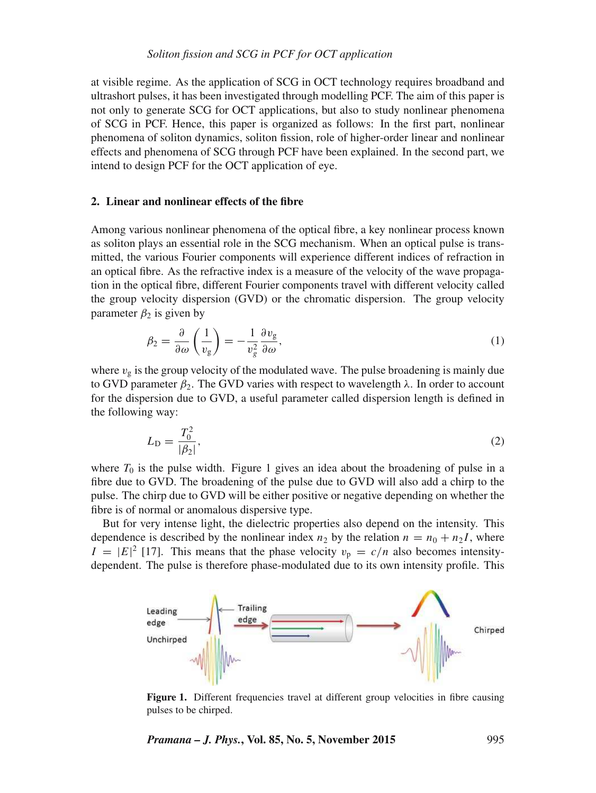at visible regime. As the application of SCG in OCT technology requires broadband and ultrashort pulses, it has been investigated through modelling PCF. The aim of this paper is not only to generate SCG for OCT applications, but also to study nonlinear phenomena of SCG in PCF. Hence, this paper is organized as follows: In the first part, nonlinear phenomena of soliton dynamics, soliton fission, role of higher-order linear and nonlinear effects and phenomena of SCG through PCF have been explained. In the second part, we intend to design PCF for the OCT application of eye.

## **2. Linear and nonlinear effects of the fibre**

Among various nonlinear phenomena of the optical fibre, a key nonlinear process known as soliton plays an essential role in the SCG mechanism. When an optical pulse is transmitted, the various Fourier components will experience different indices of refraction in an optical fibre. As the refractive index is a measure of the velocity of the wave propagation in the optical fibre, different Fourier components travel with different velocity called the group velocity dispersion (GVD) or the chromatic dispersion. The group velocity parameter  $\beta_2$  is given by

$$
\beta_2 = \frac{\partial}{\partial \omega} \left( \frac{1}{v_g} \right) = -\frac{1}{v_g^2} \frac{\partial v_g}{\partial \omega},\tag{1}
$$

where  $v_g$  is the group velocity of the modulated wave. The pulse broadening is mainly due to GVD parameter  $\beta_2$ . The GVD varies with respect to wavelength  $\lambda$ . In order to account for the dispersion due to GVD, a useful parameter called dispersion length is defined in the following way:

$$
L_{\rm D} = \frac{T_0^2}{|\beta_2|},\tag{2}
$$

where  $T_0$  is the pulse width. Figure 1 gives an idea about the broadening of pulse in a fibre due to GVD. The broadening of the pulse due to GVD will also add a chirp to the pulse. The chirp due to GVD will be either positive or negative depending on whether the fibre is of normal or anomalous dispersive type.

But for very intense light, the dielectric properties also depend on the intensity. This dependence is described by the nonlinear index  $n_2$  by the relation  $n = n_0 + n_2I$ , where  $I = |E|^2$  [17]. This means that the phase velocity  $v_p = c/n$  also becomes intensitydependent. The pulse is therefore phase-modulated due to its own intensity profile. This



Figure 1. Different frequencies travel at different group velocities in fibre causing pulses to be chirped.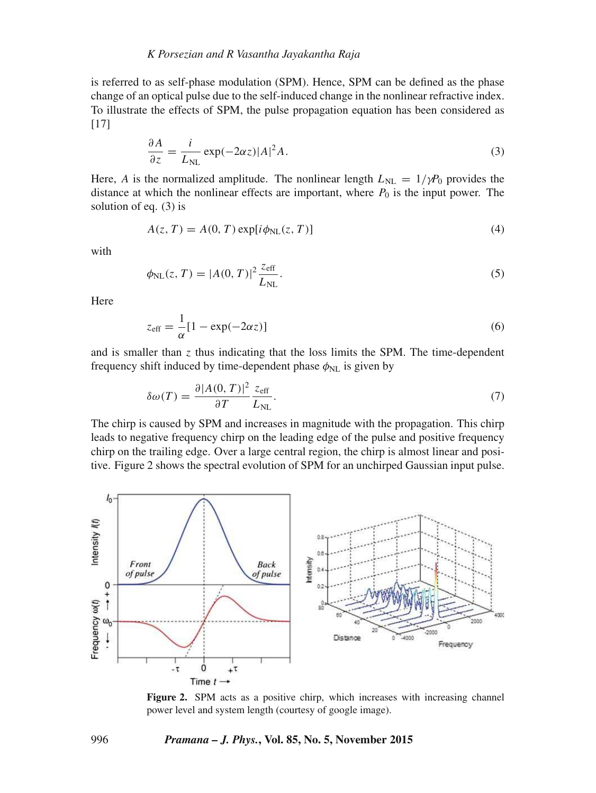is referred to as self-phase modulation (SPM). Hence, SPM can be defined as the phase change of an optical pulse due to the self-induced change in the nonlinear refractive index. To illustrate the effects of SPM, the pulse propagation equation has been considered as [17]

$$
\frac{\partial A}{\partial z} = \frac{i}{L_{\text{NL}}} \exp(-2\alpha z)|A|^2 A. \tag{3}
$$

Here, A is the normalized amplitude. The nonlinear length  $L_{NL} = 1/\gamma P_0$  provides the distance at which the nonlinear effects are important, where  $P_0$  is the input power. The solution of eq. (3) is

$$
A(z, T) = A(0, T) \exp[i\phi_{\rm NL}(z, T)] \tag{4}
$$

with

$$
\phi_{\rm NL}(z,T) = |A(0,T)|^2 \frac{z_{\rm eff}}{L_{\rm NL}}.\tag{5}
$$

Here

$$
z_{\text{eff}} = \frac{1}{\alpha} [1 - \exp(-2\alpha z)] \tag{6}
$$

and is smaller than  $z$  thus indicating that the loss limits the SPM. The time-dependent frequency shift induced by time-dependent phase  $\phi_{NL}$  is given by

$$
\delta\omega(T) = \frac{\partial |A(0,T)|^2}{\partial T} \frac{z_{\text{eff}}}{L_{\text{NL}}}.
$$
\n(7)

The chirp is caused by SPM and increases in magnitude with the propagation. This chirp leads to negative frequency chirp on the leading edge of the pulse and positive frequency chirp on the trailing edge. Over a large central region, the chirp is almost linear and positive. Figure 2 shows the spectral evolution of SPM for an unchirped Gaussian input pulse.



Figure 2. SPM acts as a positive chirp, which increases with increasing channel power level and system length (courtesy of google image).

#### 996 *Pramana – J. Phys.***, Vol. 85, No. 5, November 2015**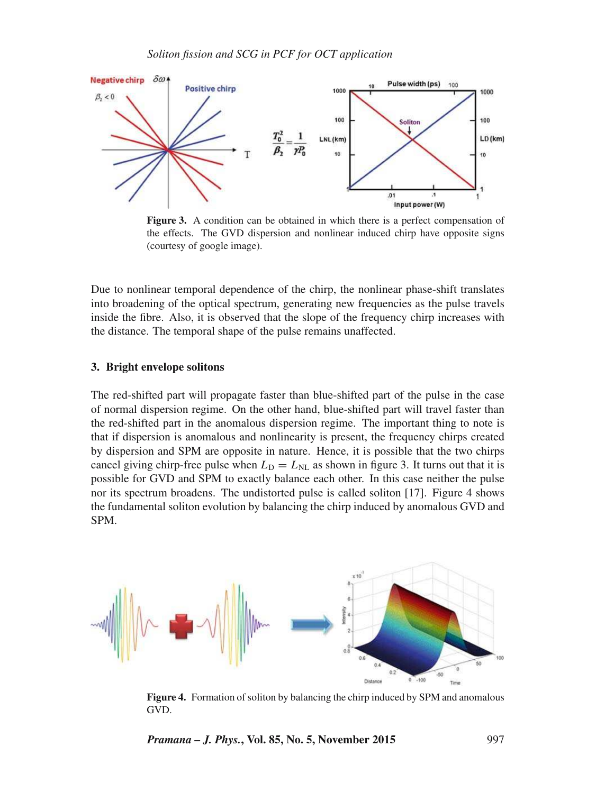

**Figure 3.** A condition can be obtained in which there is a perfect compensation of the effects. The GVD dispersion and nonlinear induced chirp have opposite signs (courtesy of google image).

Due to nonlinear temporal dependence of the chirp, the nonlinear phase-shift translates into broadening of the optical spectrum, generating new frequencies as the pulse travels inside the fibre. Also, it is observed that the slope of the frequency chirp increases with the distance. The temporal shape of the pulse remains unaffected.

## **3. Bright envelope solitons**

The red-shifted part will propagate faster than blue-shifted part of the pulse in the case of normal dispersion regime. On the other hand, blue-shifted part will travel faster than the red-shifted part in the anomalous dispersion regime. The important thing to note is that if dispersion is anomalous and nonlinearity is present, the frequency chirps created by dispersion and SPM are opposite in nature. Hence, it is possible that the two chirps cancel giving chirp-free pulse when  $L_D = L_{NL}$  as shown in figure 3. It turns out that it is possible for GVD and SPM to exactly balance each other. In this case neither the pulse nor its spectrum broadens. The undistorted pulse is called soliton [17]. Figure 4 shows the fundamental soliton evolution by balancing the chirp induced by anomalous GVD and SPM.



**Figure 4.** Formation of soliton by balancing the chirp induced by SPM and anomalous GVD.

*Pramana – J. Phys.***, Vol. 85, No. 5, November 2015** 997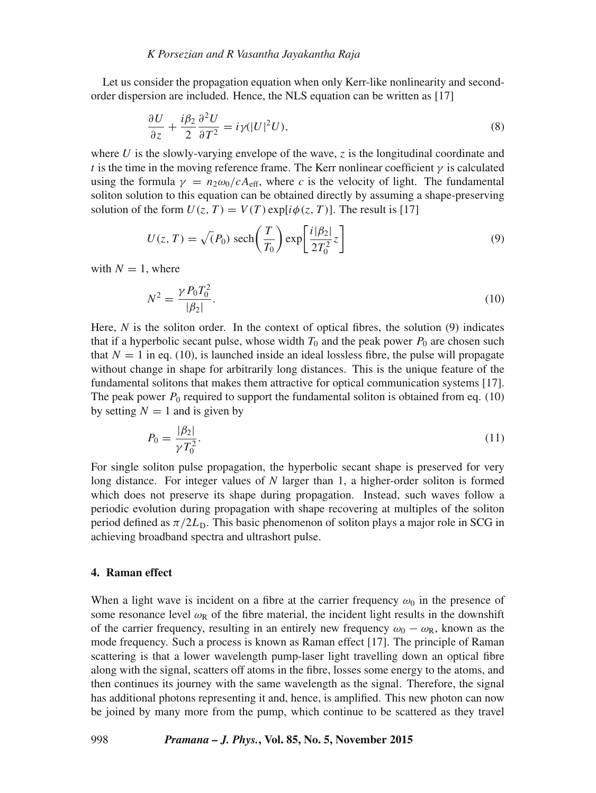Let us consider the propagation equation when only Kerr-like nonlinearity and secondorder dispersion are included. Hence, the NLS equation can be written as [17]

$$
\frac{\partial U}{\partial z} + \frac{i\beta_2}{2} \frac{\partial^2 U}{\partial T^2} = i\gamma (|U|^2 U),\tag{8}
$$

where U is the slowly-varying envelope of the wave,  $\zeta$  is the longitudinal coordinate and t is the time in the moving reference frame. The Kerr nonlinear coefficient  $\gamma$  is calculated using the formula  $\gamma = n_2 \omega_0/cA_{\text{eff}}$ , where *c* is the velocity of light. The fundamental soliton solution to this equation can be obtained directly by assuming a shape-preserving solution of the form  $U(z, T) = V(T) \exp[i\phi(z, T)]$ . The result is [17]

$$
U(z, T) = \sqrt{P_0} \operatorname{sech}\left(\frac{T}{T_0}\right) \exp\left[\frac{i|\beta_2|}{2T_0^2}z\right]
$$
(9)

with  $N = 1$ , where

$$
N^2 = \frac{\gamma P_0 T_0^2}{|\beta_2|}.\tag{10}
$$

Here, *N* is the soliton order. In the context of optical fibres, the solution (9) indicates that if a hyperbolic secant pulse, whose width  $T_0$  and the peak power  $P_0$  are chosen such that  $N = 1$  in eq. (10), is launched inside an ideal lossless fibre, the pulse will propagate without change in shape for arbitrarily long distances. This is the unique feature of the fundamental solitons that makes them attractive for optical communication systems [17]. The peak power  $P_0$  required to support the fundamental soliton is obtained from eq. (10) by setting  $N = 1$  and is given by

$$
P_0 = \frac{|\beta_2|}{\gamma T_0^2}.\tag{11}
$$

For single soliton pulse propagation, the hyperbolic secant shape is preserved for very long distance. For integer values of *N* larger than 1, a higher-order soliton is formed which does not preserve its shape during propagation. Instead, such waves follow a periodic evolution during propagation with shape recovering at multiples of the soliton period defined as  $\pi/2L<sub>D</sub>$ . This basic phenomenon of soliton plays a major role in SCG in achieving broadband spectra and ultrashort pulse.

#### **4. Raman effect**

When a light wave is incident on a fibre at the carrier frequency  $\omega_0$  in the presence of some resonance level  $\omega_R$  of the fibre material, the incident light results in the downshift of the carrier frequency, resulting in an entirely new frequency  $\omega_0 - \omega_R$ , known as the mode frequency. Such a process is known as Raman effect [17]. The principle of Raman scattering is that a lower wavelength pump-laser light travelling down an optical fibre along with the signal, scatters off atoms in the fibre, losses some energy to the atoms, and then continues its journey with the same wavelength as the signal. Therefore, the signal has additional photons representing it and, hence, is amplified. This new photon can now be joined by many more from the pump, which continue to be scattered as they travel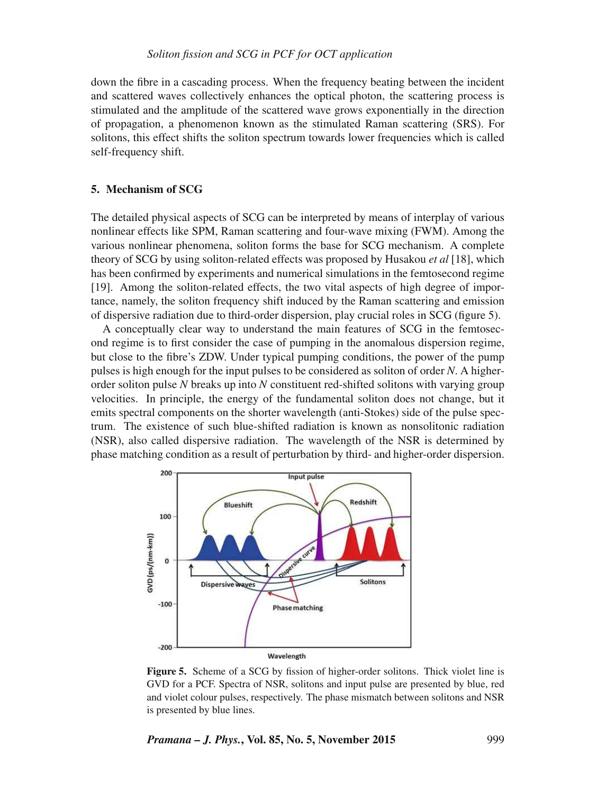down the fibre in a cascading process. When the frequency beating between the incident and scattered waves collectively enhances the optical photon, the scattering process is stimulated and the amplitude of the scattered wave grows exponentially in the direction of propagation, a phenomenon known as the stimulated Raman scattering (SRS). For solitons, this effect shifts the soliton spectrum towards lower frequencies which is called self-frequency shift.

## **5. Mechanism of SCG**

The detailed physical aspects of SCG can be interpreted by means of interplay of various nonlinear effects like SPM, Raman scattering and four-wave mixing (FWM). Among the various nonlinear phenomena, soliton forms the base for SCG mechanism. A complete theory of SCG by using soliton-related effects was proposed by Husakou *et al* [18], which has been confirmed by experiments and numerical simulations in the femtosecond regime [19]. Among the soliton-related effects, the two vital aspects of high degree of importance, namely, the soliton frequency shift induced by the Raman scattering and emission of dispersive radiation due to third-order dispersion, play crucial roles in SCG (figure 5).

A conceptually clear way to understand the main features of SCG in the femtosecond regime is to first consider the case of pumping in the anomalous dispersion regime, but close to the fibre's ZDW. Under typical pumping conditions, the power of the pump pulses is high enough for the input pulses to be considered as soliton of order *N*. A higherorder soliton pulse *N* breaks up into *N* constituent red-shifted solitons with varying group velocities. In principle, the energy of the fundamental soliton does not change, but it emits spectral components on the shorter wavelength (anti-Stokes) side of the pulse spectrum. The existence of such blue-shifted radiation is known as nonsolitonic radiation (NSR), also called dispersive radiation. The wavelength of the NSR is determined by phase matching condition as a result of perturbation by third- and higher-order dispersion.



**Figure 5.** Scheme of a SCG by fission of higher-order solitons. Thick violet line is GVD for a PCF. Spectra of NSR, solitons and input pulse are presented by blue, red and violet colour pulses, respectively. The phase mismatch between solitons and NSR is presented by blue lines.

## *Pramana – J. Phys.***, Vol. 85, No. 5, November 2015** 999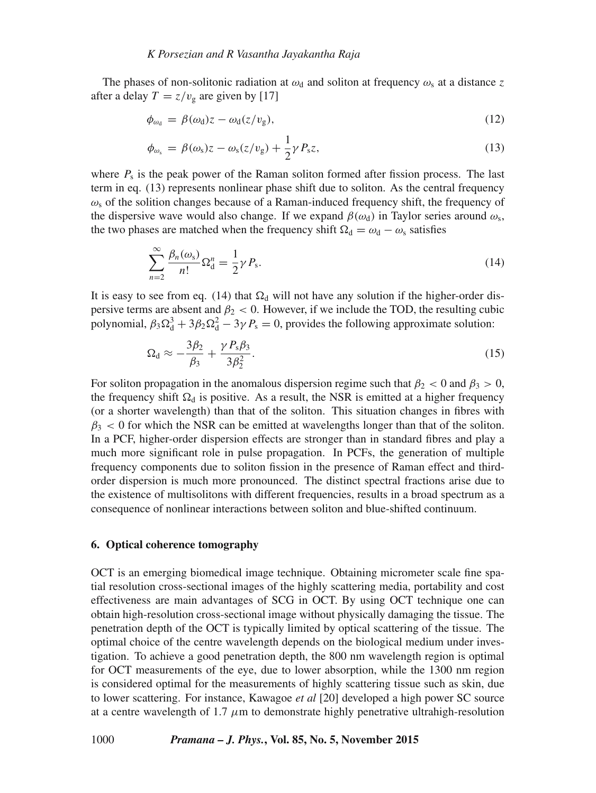The phases of non-solitonic radiation at  $\omega_d$  and soliton at frequency  $\omega_s$  at a distance z after a delay  $T = z/v_{\rm g}$  are given by [17]

$$
\phi_{\omega_d} = \beta(\omega_d) z - \omega_d(z/v_g), \tag{12}
$$

$$
\phi_{\omega_{\rm s}} = \beta(\omega_{\rm s})z - \omega_{\rm s}(z/v_{\rm g}) + \frac{1}{2}\gamma P_{\rm s}z,\tag{13}
$$

where  $P_s$  is the peak power of the Raman soliton formed after fission process. The last term in eq. (13) represents nonlinear phase shift due to soliton. As the central frequency  $\omega_s$  of the solition changes because of a Raman-induced frequency shift, the frequency of the dispersive wave would also change. If we expand  $\beta(\omega_d)$  in Taylor series around  $\omega_s$ , the two phases are matched when the frequency shift  $\Omega_d = \omega_d - \omega_s$  satisfies

$$
\sum_{n=2}^{\infty} \frac{\beta_n(\omega_s)}{n!} \Omega_d^n = \frac{1}{2} \gamma P_s. \tag{14}
$$

It is easy to see from eq. (14) that  $\Omega_d$  will not have any solution if the higher-order dispersive terms are absent and  $\beta_2 < 0$ . However, if we include the TOD, the resulting cubic polynomial,  $\beta_3 \Omega_d^3 + 3\beta_2 \Omega_d^2 - 3\gamma P_s = 0$ , provides the following approximate solution:

$$
\Omega_{\rm d} \approx -\frac{3\beta_2}{\beta_3} + \frac{\gamma P_{\rm s}\beta_3}{3\beta_2^2}.\tag{15}
$$

For soliton propagation in the anomalous dispersion regime such that  $\beta_2 < 0$  and  $\beta_3 > 0$ , the frequency shift  $\Omega_d$  is positive. As a result, the NSR is emitted at a higher frequency (or a shorter wavelength) than that of the soliton. This situation changes in fibres with  $\beta_3$  < 0 for which the NSR can be emitted at wavelengths longer than that of the soliton. In a PCF, higher-order dispersion effects are stronger than in standard fibres and play a much more significant role in pulse propagation. In PCFs, the generation of multiple frequency components due to soliton fission in the presence of Raman effect and thirdorder dispersion is much more pronounced. The distinct spectral fractions arise due to the existence of multisolitons with different frequencies, results in a broad spectrum as a consequence of nonlinear interactions between soliton and blue-shifted continuum.

#### **6. Optical coherence tomography**

OCT is an emerging biomedical image technique. Obtaining micrometer scale fine spatial resolution cross-sectional images of the highly scattering media, portability and cost effectiveness are main advantages of SCG in OCT. By using OCT technique one can obtain high-resolution cross-sectional image without physically damaging the tissue. The penetration depth of the OCT is typically limited by optical scattering of the tissue. The optimal choice of the centre wavelength depends on the biological medium under investigation. To achieve a good penetration depth, the 800 nm wavelength region is optimal for OCT measurements of the eye, due to lower absorption, while the 1300 nm region is considered optimal for the measurements of highly scattering tissue such as skin, due to lower scattering. For instance, Kawagoe *et al* [20] developed a high power SC source at a centre wavelength of 1.7  $\mu$ m to demonstrate highly penetrative ultrahigh-resolution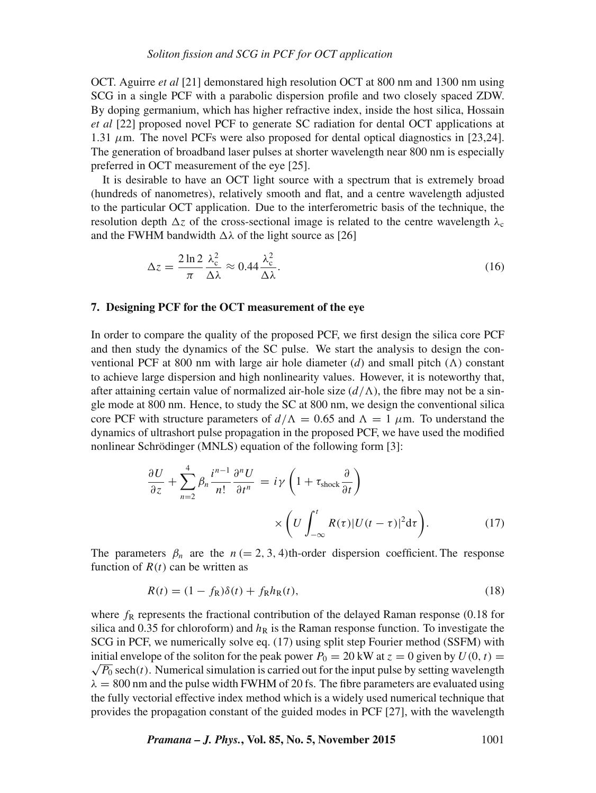OCT. Aguirre *et al* [21] demonstared high resolution OCT at 800 nm and 1300 nm using SCG in a single PCF with a parabolic dispersion profile and two closely spaced ZDW. By doping germanium, which has higher refractive index, inside the host silica, Hossain *et al* [22] proposed novel PCF to generate SC radiation for dental OCT applications at 1.31  $\mu$ m. The novel PCFs were also proposed for dental optical diagnostics in [23,24]. The generation of broadband laser pulses at shorter wavelength near 800 nm is especially preferred in OCT measurement of the eye [25].

It is desirable to have an OCT light source with a spectrum that is extremely broad (hundreds of nanometres), relatively smooth and flat, and a centre wavelength adjusted to the particular OCT application. Due to the interferometric basis of the technique, the resolution depth  $\Delta z$  of the cross-sectional image is related to the centre wavelength  $\lambda_c$ and the FWHM bandwidth  $\Delta\lambda$  of the light source as [26]

$$
\Delta z = \frac{2 \ln 2}{\pi} \frac{\lambda_c^2}{\Delta \lambda} \approx 0.44 \frac{\lambda_c^2}{\Delta \lambda}.
$$
\n(16)

## **7. Designing PCF for the OCT measurement of the eye**

In order to compare the quality of the proposed PCF, we first design the silica core PCF and then study the dynamics of the SC pulse. We start the analysis to design the conventional PCF at 800 nm with large air hole diameter  $(d)$  and small pitch  $(\Lambda)$  constant to achieve large dispersion and high nonlinearity values. However, it is noteworthy that, after attaining certain value of normalized air-hole size  $(d/\Lambda)$ , the fibre may not be a single mode at 800 nm. Hence, to study the SC at 800 nm, we design the conventional silica core PCF with structure parameters of  $d/\Lambda = 0.65$  and  $\Lambda = 1$   $\mu$ m. To understand the dynamics of ultrashort pulse propagation in the proposed PCF, we have used the modified nonlinear Schrödinger (MNLS) equation of the following form [3]:

$$
\frac{\partial U}{\partial z} + \sum_{n=2}^{4} \beta_n \frac{i^{n-1}}{n!} \frac{\partial^n U}{\partial t^n} = i\gamma \left( 1 + \tau_{\text{shock}} \frac{\partial}{\partial t} \right)
$$

$$
\times \left( U \int_{-\infty}^t R(\tau) |U(t-\tau)|^2 d\tau \right). \tag{17}
$$

The parameters  $\beta_n$  are the  $n (= 2, 3, 4)$ th-order dispersion coefficient. The response function of  $R(t)$  can be written as

$$
R(t) = (1 - f_{\rm R})\delta(t) + f_{\rm R}h_{\rm R}(t),
$$
\n(18)

where  $f_R$  represents the fractional contribution of the delayed Raman response (0.18 for silica and 0.35 for chloroform) and  $h<sub>R</sub>$  is the Raman response function. To investigate the SCG in PCF, we numerically solve eq. (17) using split step Fourier method (SSFM) with initial envelope of the soliton for the peak power  $P_0 = 20$  kW at  $z = 0$  given by  $U(0, t) =$  $\sqrt{P_0}$  sech(*t*). Numerical simulation is carried out for the input pulse by setting wavelength  $\lambda = 800$  nm and the pulse width FWHM of 20 fs. The fibre parameters are evaluated using the fully vectorial effective index method which is a widely used numerical technique that provides the propagation constant of the guided modes in PCF [27], with the wavelength

*Pramana – J. Phys.***, Vol. 85, No. 5, November 2015** 1001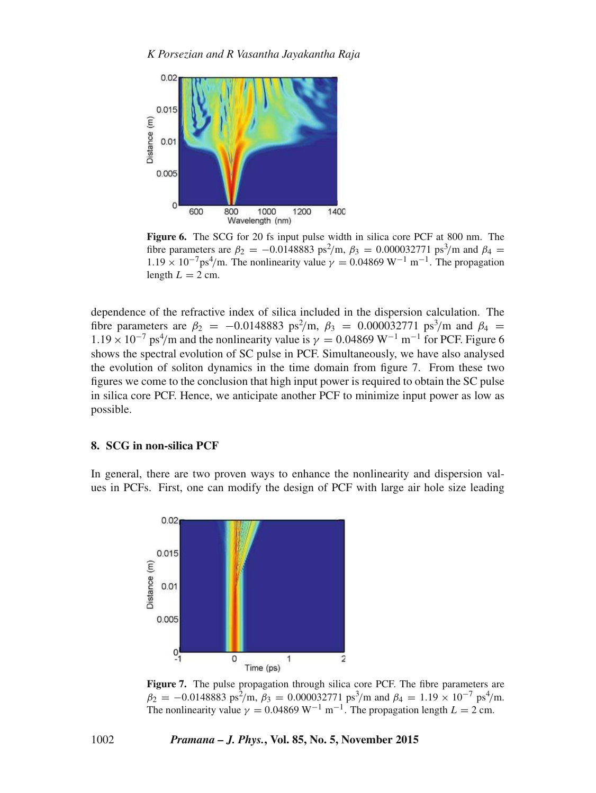

**Figure 6.** The SCG for 20 fs input pulse width in silica core PCF at 800 nm. The fibre parameters are  $\beta_2 = -0.0148883 \text{ ps}^2/\text{m}$ ,  $\beta_3 = 0.000032771 \text{ ps}^3/\text{m}$  and  $\beta_4 =$  $1.19 \times 10^{-7} \text{ps}^4/\text{m}$ . The nonlinearity value  $\gamma = 0.04869 \text{ W}^{-1} \text{ m}^{-1}$ . The propagation length  $L = 2$  cm.

dependence of the refractive index of silica included in the dispersion calculation. The fibre parameters are  $\beta_2 = -0.0148883 \text{ ps}^2/\text{m}$ ,  $\beta_3 = 0.000032771 \text{ ps}^3/\text{m}$  and  $\beta_4 =$  $1.19 \times 10^{-7}$  ps<sup>4</sup>/m and the nonlinearity value is  $\gamma = 0.04869$  W<sup>-1</sup> m<sup>-1</sup> for PCF. Figure 6 shows the spectral evolution of SC pulse in PCF. Simultaneously, we have also analysed the evolution of soliton dynamics in the time domain from figure 7. From these two figures we come to the conclusion that high input power is required to obtain the SC pulse in silica core PCF. Hence, we anticipate another PCF to minimize input power as low as possible.

## **8. SCG in non-silica PCF**

In general, there are two proven ways to enhance the nonlinearity and dispersion values in PCFs. First, one can modify the design of PCF with large air hole size leading



**Figure 7.** The pulse propagation through silica core PCF. The fibre parameters are  $\beta_2 = -0.0148883 \text{ ps}^2/\text{m}, \beta_3 = 0.000032771 \text{ ps}^3/\text{m} \text{ and } \beta_4 = 1.19 \times 10^{-7} \text{ ps}^4/\text{m}.$ The nonlinearity value  $\gamma = 0.04869 \text{ W}^{-1} \text{ m}^{-1}$ . The propagation length  $L = 2 \text{ cm}$ .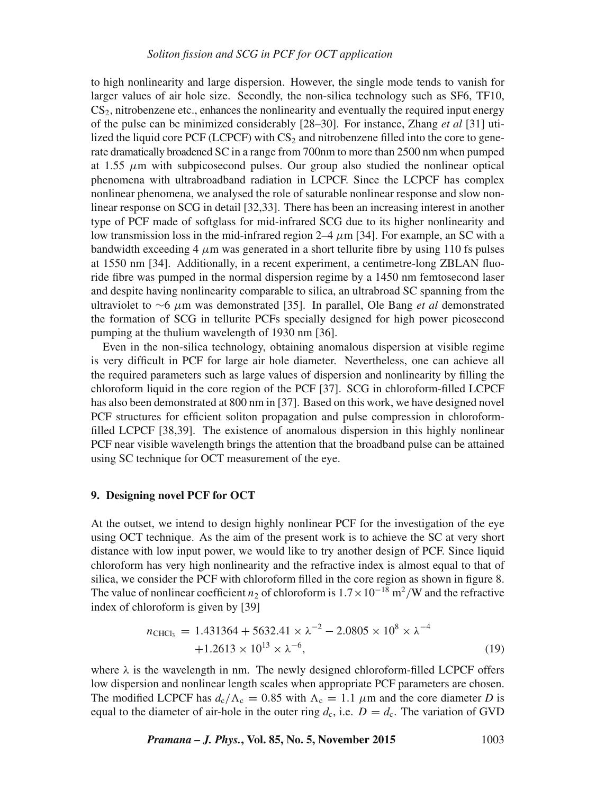## *Soliton fission and SCG in PCF for OCT application*

to high nonlinearity and large dispersion. However, the single mode tends to vanish for larger values of air hole size. Secondly, the non-silica technology such as SF6, TF10,  $CS<sub>2</sub>$ , nitrobenzene etc., enhances the nonlinearity and eventually the required input energy of the pulse can be minimized considerably [28–30]. For instance, Zhang *et al* [31] utilized the liquid core PCF (LCPCF) with  $CS<sub>2</sub>$  and nitrobenzene filled into the core to generate dramatically broadened SC in a range from 700nm to more than 2500 nm when pumped at 1.55  $\mu$ m with subpicosecond pulses. Our group also studied the nonlinear optical phenomena with ultrabroadband radiation in LCPCF. Since the LCPCF has complex nonlinear phenomena, we analysed the role of saturable nonlinear response and slow nonlinear response on SCG in detail [32,33]. There has been an increasing interest in another type of PCF made of softglass for mid-infrared SCG due to its higher nonlinearity and low transmission loss in the mid-infrared region  $2-4 \mu m$  [34]. For example, an SC with a bandwidth exceeding 4  $\mu$ m was generated in a short tellurite fibre by using 110 fs pulses at 1550 nm [34]. Additionally, in a recent experiment, a centimetre-long ZBLAN fluoride fibre was pumped in the normal dispersion regime by a 1450 nm femtosecond laser and despite having nonlinearity comparable to silica, an ultrabroad SC spanning from the ultraviolet to ∼6 μm was demonstrated [35]. In parallel, Ole Bang *et al* demonstrated the formation of SCG in tellurite PCFs specially designed for high power picosecond pumping at the thulium wavelength of 1930 nm [36].

Even in the non-silica technology, obtaining anomalous dispersion at visible regime is very difficult in PCF for large air hole diameter. Nevertheless, one can achieve all the required parameters such as large values of dispersion and nonlinearity by filling the chloroform liquid in the core region of the PCF [37]. SCG in chloroform-filled LCPCF has also been demonstrated at 800 nm in [37]. Based on this work, we have designed novel PCF structures for efficient soliton propagation and pulse compression in chloroformfilled LCPCF [38,39]. The existence of anomalous dispersion in this highly nonlinear PCF near visible wavelength brings the attention that the broadband pulse can be attained using SC technique for OCT measurement of the eye.

## **9. Designing novel PCF for OCT**

At the outset, we intend to design highly nonlinear PCF for the investigation of the eye using OCT technique. As the aim of the present work is to achieve the SC at very short distance with low input power, we would like to try another design of PCF. Since liquid chloroform has very high nonlinearity and the refractive index is almost equal to that of silica, we consider the PCF with chloroform filled in the core region as shown in figure 8. The value of nonlinear coefficient  $n_2$  of chloroform is  $1.7 \times 10^{-18}$  m<sup>2</sup>/W and the refractive index of chloroform is given by [39]

$$
n_{\text{CHCl}_3} = 1.431364 + 5632.41 \times \lambda^{-2} - 2.0805 \times 10^8 \times \lambda^{-4} + 1.2613 \times 10^{13} \times \lambda^{-6},
$$
\n(19)

where  $\lambda$  is the wavelength in nm. The newly designed chloroform-filled LCPCF offers low dispersion and nonlinear length scales when appropriate PCF parameters are chosen. The modified LCPCF has  $d_c/\Lambda_c = 0.85$  with  $\Lambda_c = 1.1 \mu m$  and the core diameter *D* is equal to the diameter of air-hole in the outer ring  $d_c$ , i.e.  $D = d_c$ . The variation of GVD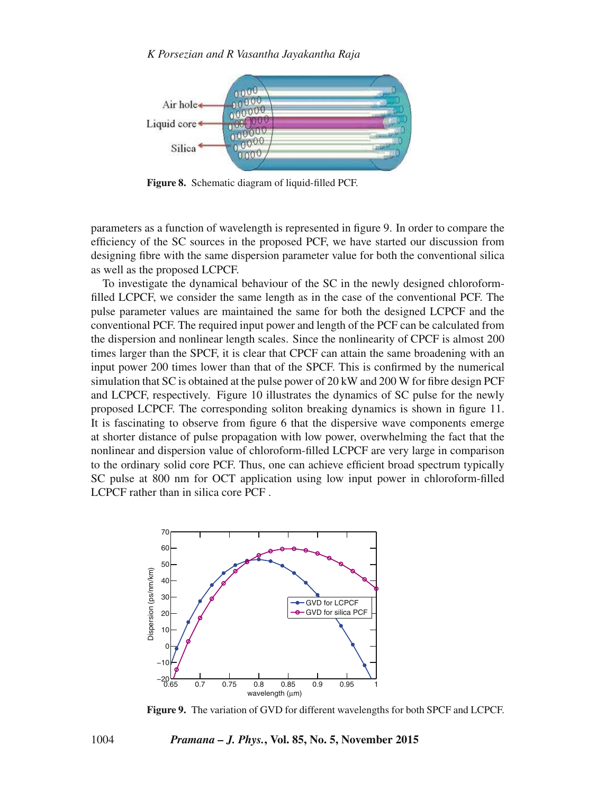## *K Porsezian and R Vasantha Jayakantha Raja*



**Figure 8.** Schematic diagram of liquid-filled PCF.

parameters as a function of wavelength is represented in figure 9. In order to compare the efficiency of the SC sources in the proposed PCF, we have started our discussion from designing fibre with the same dispersion parameter value for both the conventional silica as well as the proposed LCPCF.

To investigate the dynamical behaviour of the SC in the newly designed chloroformfilled LCPCF, we consider the same length as in the case of the conventional PCF. The pulse parameter values are maintained the same for both the designed LCPCF and the conventional PCF. The required input power and length of the PCF can be calculated from the dispersion and nonlinear length scales. Since the nonlinearity of CPCF is almost 200 times larger than the SPCF, it is clear that CPCF can attain the same broadening with an input power 200 times lower than that of the SPCF. This is confirmed by the numerical simulation that SC is obtained at the pulse power of 20 kW and 200 W for fibre design PCF and LCPCF, respectively. Figure 10 illustrates the dynamics of SC pulse for the newly proposed LCPCF. The corresponding soliton breaking dynamics is shown in figure 11. It is fascinating to observe from figure 6 that the dispersive wave components emerge at shorter distance of pulse propagation with low power, overwhelming the fact that the nonlinear and dispersion value of chloroform-filled LCPCF are very large in comparison to the ordinary solid core PCF. Thus, one can achieve efficient broad spectrum typically SC pulse at 800 nm for OCT application using low input power in chloroform-filled LCPCF rather than in silica core PCF .



**Figure 9.** The variation of GVD for different wavelengths for both SPCF and LCPCF.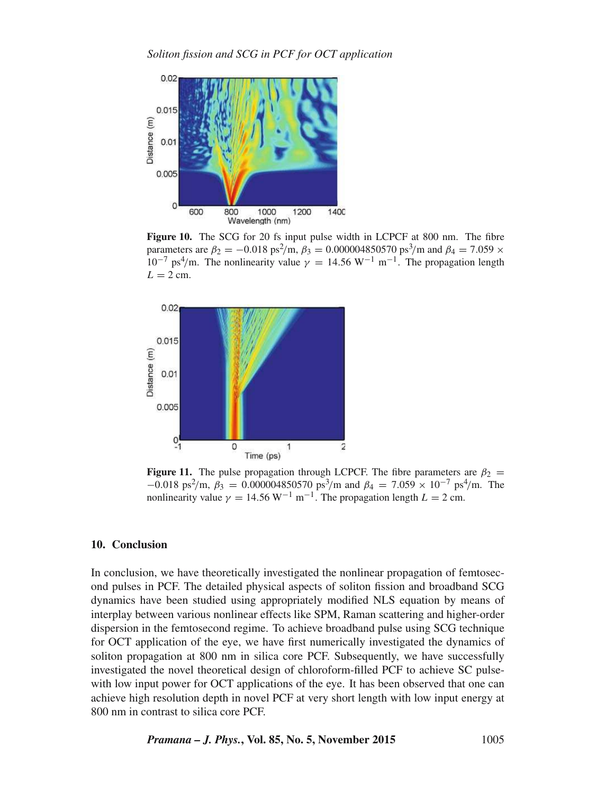

**Figure 10.** The SCG for 20 fs input pulse width in LCPCF at 800 nm. The fibre parameters are  $\beta_2 = -0.018 \text{ ps}^2/\text{m}$ ,  $\beta_3 = 0.000004850570 \text{ ps}^3/\text{m}$  and  $\beta_4 = 7.059 \times 10^{-7}$  $10^{-7}$  ps<sup>4</sup>/m. The nonlinearity value  $\gamma = 14.56 \text{ W}^{-1} \text{ m}^{-1}$ . The propagation length  $L = 2$  cm.



**Figure 11.** The pulse propagation through LCPCF. The fibre parameters are  $\beta_2$  =  $-0.018 \text{ ps}^2/\text{m}, \beta_3 = 0.000004850570 \text{ ps}^3/\text{m}$  and  $\beta_4 = 7.059 \times 10^{-7} \text{ ps}^4/\text{m}$ . The nonlinearity value  $\gamma = 14.56 \text{ W}^{-1} \text{ m}^{-1}$ . The propagation length  $L = 2 \text{ cm}$ .

#### **10. Conclusion**

In conclusion, we have theoretically investigated the nonlinear propagation of femtosecond pulses in PCF. The detailed physical aspects of soliton fission and broadband SCG dynamics have been studied using appropriately modified NLS equation by means of interplay between various nonlinear effects like SPM, Raman scattering and higher-order dispersion in the femtosecond regime. To achieve broadband pulse using SCG technique for OCT application of the eye, we have first numerically investigated the dynamics of soliton propagation at 800 nm in silica core PCF. Subsequently, we have successfully investigated the novel theoretical design of chloroform-filled PCF to achieve SC pulsewith low input power for OCT applications of the eye. It has been observed that one can achieve high resolution depth in novel PCF at very short length with low input energy at 800 nm in contrast to silica core PCF.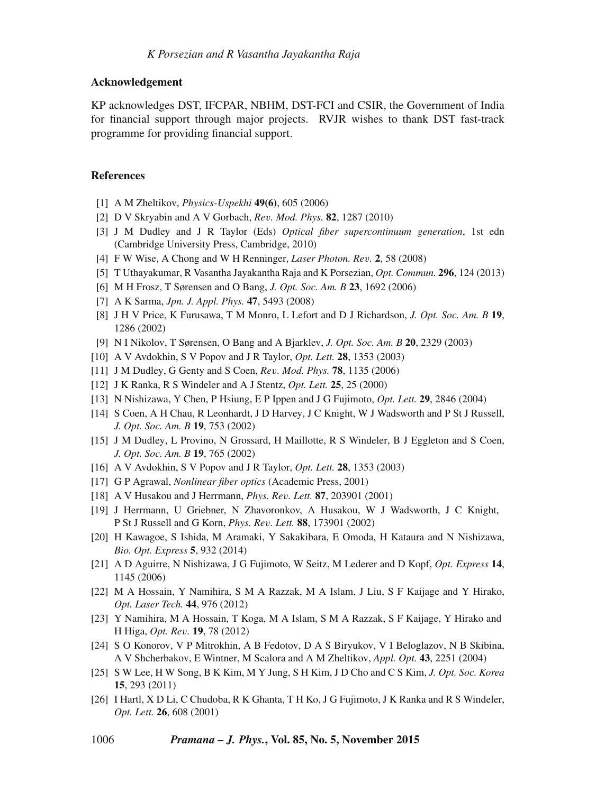#### **Acknowledgement**

KP acknowledges DST, IFCPAR, NBHM, DST-FCI and CSIR, the Government of India for financial support through major projects. RVJR wishes to thank DST fast-track programme for providing financial support.

## **References**

- [1] A M Zheltikov, *Physics-Uspekhi* **49(6)**, 605 (2006)
- [2] D V Skryabin and A V Gorbach, *Re*v*. Mod. Phys.* **82**, 1287 (2010)
- [3] J M Dudley and J R Taylor (Eds) *Optical fiber supercontinuum generation*, 1st edn (Cambridge University Press, Cambridge, 2010)
- [4] F W Wise, A Chong and W H Renninger, *Laser Photon. Re*v*.* **2**, 58 (2008)
- [5] T Uthayakumar, R Vasantha Jayakantha Raja and K Porsezian, *Opt. Commun.* **296**, 124 (2013)
- [6] M H Frosz, T Sørensen and O Bang, *J. Opt. Soc. Am. B* **23**, 1692 (2006)
- [7] A K Sarma, *Jpn. J. Appl. Phys.* **47**, 5493 (2008)
- [8] J H V Price, K Furusawa, T M Monro, L Lefort and D J Richardson, *J. Opt. Soc. Am. B* **19**, 1286 (2002)
- [9] N I Nikolov, T Sørensen, O Bang and A Bjarklev, *J. Opt. Soc. Am. B* **20**, 2329 (2003)
- [10] A V Avdokhin, S V Popov and J R Taylor, *Opt. Lett.* **28**, 1353 (2003)
- [11] J M Dudley, G Genty and S Coen, *Re*v*. Mod. Phys.* **78**, 1135 (2006)
- [12] J K Ranka, R S Windeler and A J Stentz, *Opt. Lett.* **25**, 25 (2000)
- [13] N Nishizawa, Y Chen, P Hsiung, E P Ippen and J G Fujimoto, *Opt. Lett.* **29**, 2846 (2004)
- [14] S Coen, A H Chau, R Leonhardt, J D Harvey, J C Knight, W J Wadsworth and P St J Russell, *J. Opt. Soc. Am. B* **19**, 753 (2002)
- [15] J M Dudley, L Provino, N Grossard, H Maillotte, R S Windeler, B J Eggleton and S Coen, *J. Opt. Soc. Am. B* **19**, 765 (2002)
- [16] A V Avdokhin, S V Popov and J R Taylor, *Opt. Lett.* **28**, 1353 (2003)
- [17] G P Agrawal, *Nonlinear fiber optics* (Academic Press, 2001)
- [18] A V Husakou and J Herrmann, *Phys. Re*v*. Lett.* **87**, 203901 (2001)
- [19] J Herrmann, U Griebner, N Zhavoronkov, A Husakou, W J Wadsworth, J C Knight, P St J Russell and G Korn, *Phys. Re*v*. Lett.* **88**, 173901 (2002)
- [20] H Kawagoe, S Ishida, M Aramaki, Y Sakakibara, E Omoda, H Kataura and N Nishizawa, *Bio. Opt. Express* **5**, 932 (2014)
- [21] A D Aguirre, N Nishizawa, J G Fujimoto, W Seitz, M Lederer and D Kopf, *Opt. Express* **14**, 1145 (2006)
- [22] M A Hossain, Y Namihira, S M A Razzak, M A Islam, J Liu, S F Kaijage and Y Hirako, *Opt. Laser Tech.* **44**, 976 (2012)
- [23] Y Namihira, M A Hossain, T Koga, M A Islam, S M A Razzak, S F Kaijage, Y Hirako and H Higa, *Opt. Re*v*.* **19**, 78 (2012)
- [24] S O Konorov, V P Mitrokhin, A B Fedotov, D A S Biryukov, V I Beloglazov, N B Skibina, A V Shcherbakov, E Wintner, M Scalora and A M Zheltikov, *Appl. Opt.* **43**, 2251 (2004)
- [25] S W Lee, H W Song, B K Kim, M Y Jung, S H Kim, J D Cho and C S Kim, *J. Opt. Soc. Korea* **15**, 293 (2011)
- [26] I Hartl, X D Li, C Chudoba, R K Ghanta, T H Ko, J G Fujimoto, J K Ranka and R S Windeler, *Opt. Lett.* **26**, 608 (2001)